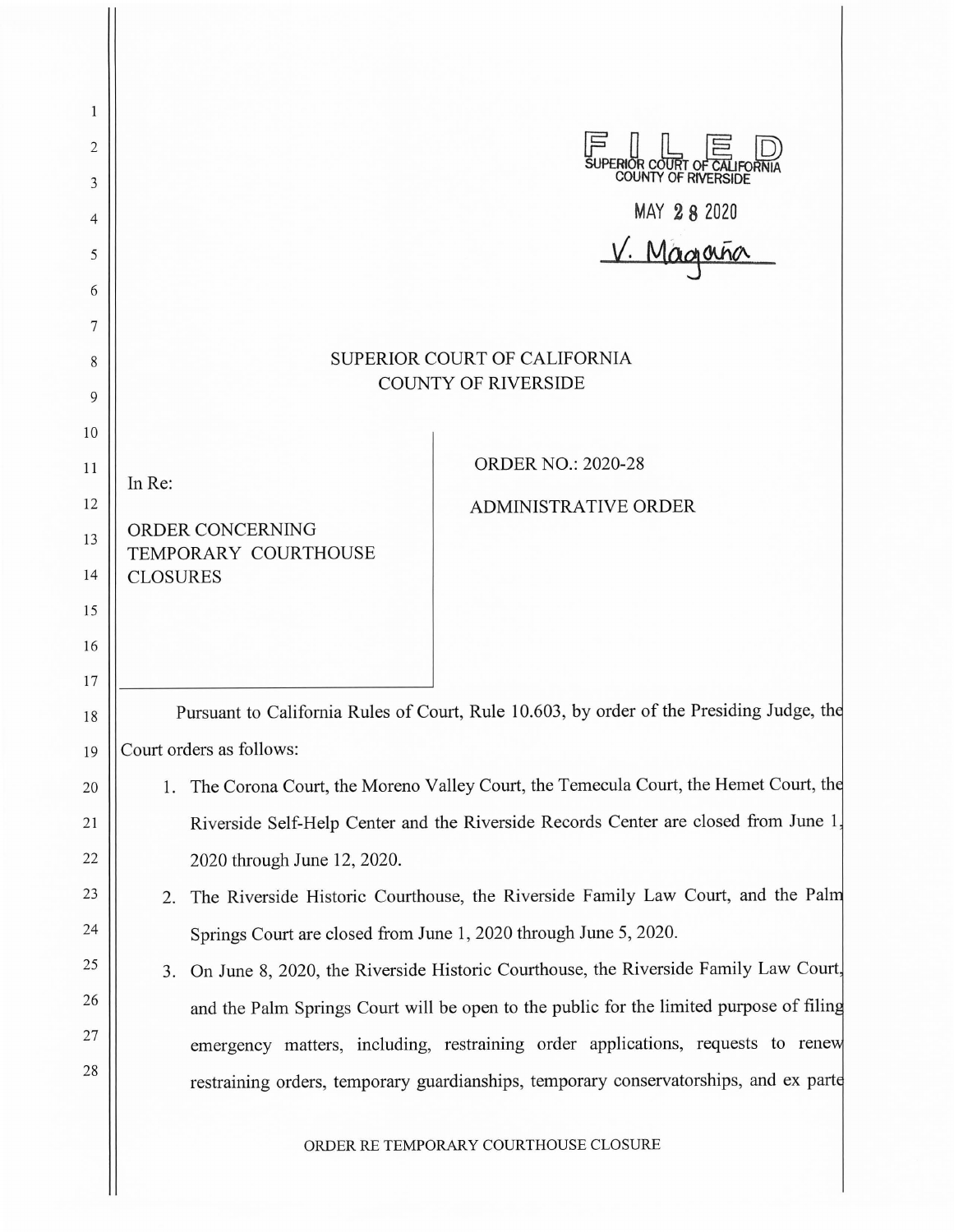| 1        |                                                                                           |                             |                                                                                        |
|----------|-------------------------------------------------------------------------------------------|-----------------------------|----------------------------------------------------------------------------------------|
| 2        |                                                                                           |                             |                                                                                        |
| 3        |                                                                                           |                             | SUPERIOR COURT OF CALIFORNI                                                            |
| 4        |                                                                                           |                             |                                                                                        |
| 5        |                                                                                           |                             | MAY 282020<br><u>V. Magnaña</u>                                                        |
| 6        |                                                                                           |                             |                                                                                        |
| 7        |                                                                                           |                             |                                                                                        |
| 8        | SUPERIOR COURT OF CALIFORNIA<br><b>COUNTY OF RIVERSIDE</b>                                |                             |                                                                                        |
| 9        |                                                                                           |                             |                                                                                        |
| 10       |                                                                                           |                             |                                                                                        |
| 11       | In Re:                                                                                    |                             | <b>ORDER NO.: 2020-28</b>                                                              |
| 12       |                                                                                           | ORDER CONCERNING            | <b>ADMINISTRATIVE ORDER</b>                                                            |
| 13       |                                                                                           | TEMPORARY COURTHOUSE        |                                                                                        |
| 14       | <b>CLOSURES</b>                                                                           |                             |                                                                                        |
| 15       |                                                                                           |                             |                                                                                        |
| 16<br>17 |                                                                                           |                             |                                                                                        |
| 18       | Pursuant to California Rules of Court, Rule 10.603, by order of the Presiding Judge, the  |                             |                                                                                        |
| 19       | Court orders as follows:                                                                  |                             |                                                                                        |
| 20       |                                                                                           |                             | 1. The Corona Court, the Moreno Valley Court, the Temecula Court, the Hemet Court, the |
| 21       |                                                                                           |                             | Riverside Self-Help Center and the Riverside Records Center are closed from June 1,    |
| 22       |                                                                                           | 2020 through June 12, 2020. |                                                                                        |
| 23       | 2.                                                                                        |                             | The Riverside Historic Courthouse, the Riverside Family Law Court, and the Palm        |
| 24       |                                                                                           |                             | Springs Court are closed from June 1, 2020 through June 5, 2020.                       |
| 25       | On June 8, 2020, the Riverside Historic Courthouse, the Riverside Family Law Court,<br>3. |                             |                                                                                        |
| 26       | and the Palm Springs Court will be open to the public for the limited purpose of filing   |                             |                                                                                        |
| 27       | emergency matters, including, restraining order applications, requests to renew           |                             |                                                                                        |
| 28       | restraining orders, temporary guardianships, temporary conservatorships, and ex parte     |                             |                                                                                        |
|          | ORDER RE TEMPORARY COURTHOUSE CLOSURE                                                     |                             |                                                                                        |